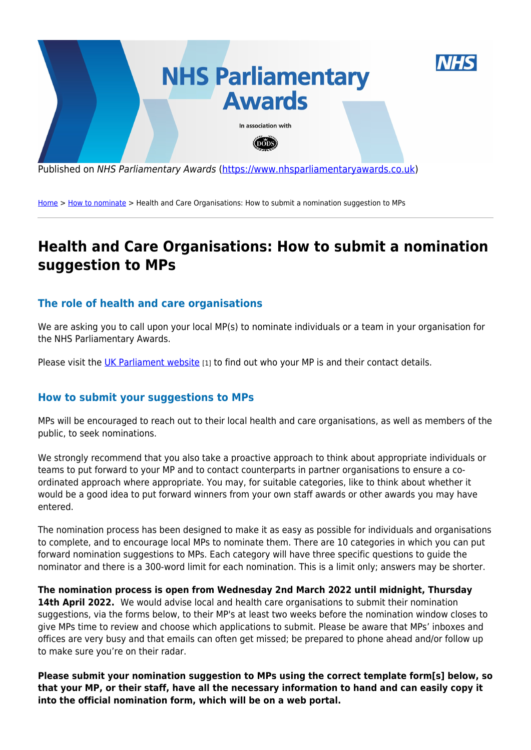

Published on NHS Parliamentary Awards [\(https://www.nhsparliamentaryawards.co.uk](https://www.nhsparliamentaryawards.co.uk))

[Home](https://www.nhsparliamentaryawards.co.uk/) > [How to nominate](https://www.nhsparliamentaryawards.co.uk/) > Health and Care Organisations: How to submit a nomination suggestion to MPs

## **Health and Care Organisations: How to submit a nomination suggestion to MPs**

## **The role of health and care organisations**

We are asking you to call upon your local MP(s) to nominate individuals or a team in your organisation for the NHS Parliamentary Awards.

Please visit the [UK Parliament website](https://members.parliament.uk/members/commons) [1] to find out who your MP is and their contact details.

## **How to submit your suggestions to MPs**

MPs will be encouraged to reach out to their local health and care organisations, as well as members of the public, to seek nominations.

We strongly recommend that you also take a proactive approach to think about appropriate individuals or teams to put forward to your MP and to contact counterparts in partner organisations to ensure a coordinated approach where appropriate. You may, for suitable categories, like to think about whether it would be a good idea to put forward winners from your own staff awards or other awards you may have entered.

The nomination process has been designed to make it as easy as possible for individuals and organisations to complete, and to encourage local MPs to nominate them. There are 10 categories in which you can put forward nomination suggestions to MPs. Each category will have three specific questions to guide the nominator and there is a 300-word limit for each nomination. This is a limit only; answers may be shorter.

**The nomination process is open from Wednesday 2nd March 2022 until midnight, Thursday** 14th April 2022. We would advise local and health care organisations to submit their nomination suggestions, via the forms below, to their MP's at least two weeks before the nomination window closes to give MPs time to review and choose which applications to submit. Please be aware that MPs' inboxes and offices are very busy and that emails can often get missed; be prepared to phone ahead and/or follow up to make sure you're on their radar.

**Please submit your nomination suggestion to MPs using the correct template form[s] below, so that your MP, or their staff, have all the necessary information to hand and can easily copy it into the official nomination form, which will be on a web portal.**